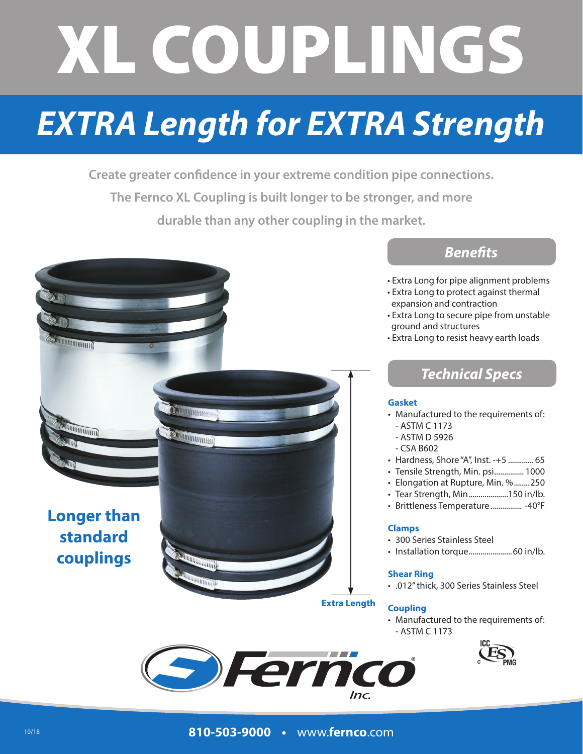# XL COUPLINGS

## *EXTRA Length for EXTRA Strength*

**Create greater confidence in your extreme condition pipe connections. The Fernco XL Coupling is built longer to be stronger, and more durable than any other coupling in the market.** 



### *Benefits*

- Extra Long for pipe alignment problems
- Extra Long to protect against thermal expansion and contraction
- Extra Long to secure pipe from unstable ground and structures
- Extra Long to resist heavy earth loads

### *Technical Specs*

#### **Gasket**

- Manufactured to the requirements of: - ASTM C 1173
	- ASTM D 5926
	- CSA B602
- Hardness, Shore "A", Inst. -+5 ............. 65
- Tensile Strength, Min. psi............... 1000
- Elongation at Rupture, Min. %........250
- Tear Strength, Min....................150 in/lb.
- Brittleness Temperature................ -40°F

#### **Clamps**

- 300 Series Stainless Steel
- Installation torque......................60 in/lb.

#### **Shear Ring**

• .012" thick, 300 Series Stainless Steel

#### **Coupling**

**Extra Length**

• Manufactured to the requirements of: - ASTM C 1173